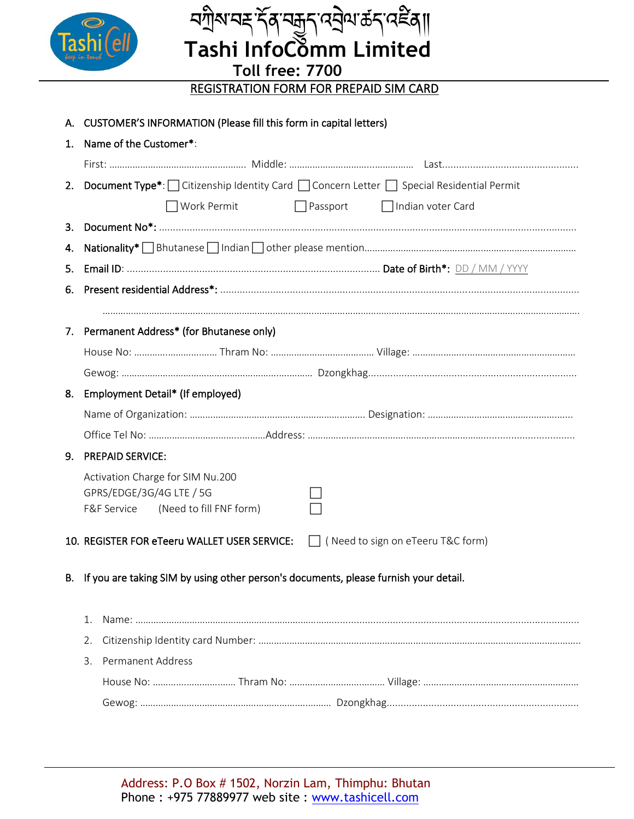

*ॸ*ॻॏ॒ॺॱॺड़ॱॸॣ॔ॺॱॺक़ॖॸॱढ़ॺॖॆॺॱढ़॔ॸॱढ़ॾॖॳ॥  **Tashi InfoComm Limited**

**Toll free: 7700** REGISTRATION FORM FOR PREPAID SIM CARD

|    |                                                                                         | A. CUSTOMER'S INFORMATION (Please fill this form in capital letters)                                   |  |  |  |  |  |  |  |  |  |  |
|----|-----------------------------------------------------------------------------------------|--------------------------------------------------------------------------------------------------------|--|--|--|--|--|--|--|--|--|--|
| 1. |                                                                                         | Name of the Customer*:                                                                                 |  |  |  |  |  |  |  |  |  |  |
|    |                                                                                         |                                                                                                        |  |  |  |  |  |  |  |  |  |  |
|    |                                                                                         | 2. Document Type*: Citizenship Identity Card Concern Letter Special Residential Permit                 |  |  |  |  |  |  |  |  |  |  |
|    |                                                                                         | $\Box$ Work Permit<br>$\Box$ Passport<br>$\Box$ Indian voter Card                                      |  |  |  |  |  |  |  |  |  |  |
| 3. |                                                                                         |                                                                                                        |  |  |  |  |  |  |  |  |  |  |
|    |                                                                                         |                                                                                                        |  |  |  |  |  |  |  |  |  |  |
| 5. |                                                                                         |                                                                                                        |  |  |  |  |  |  |  |  |  |  |
| 6. |                                                                                         |                                                                                                        |  |  |  |  |  |  |  |  |  |  |
|    |                                                                                         |                                                                                                        |  |  |  |  |  |  |  |  |  |  |
|    |                                                                                         | 7. Permanent Address* (for Bhutanese only)                                                             |  |  |  |  |  |  |  |  |  |  |
|    |                                                                                         |                                                                                                        |  |  |  |  |  |  |  |  |  |  |
|    |                                                                                         |                                                                                                        |  |  |  |  |  |  |  |  |  |  |
| 8. |                                                                                         | Employment Detail* (If employed)                                                                       |  |  |  |  |  |  |  |  |  |  |
|    |                                                                                         |                                                                                                        |  |  |  |  |  |  |  |  |  |  |
|    |                                                                                         |                                                                                                        |  |  |  |  |  |  |  |  |  |  |
| 9. |                                                                                         | <b>PREPAID SERVICE:</b>                                                                                |  |  |  |  |  |  |  |  |  |  |
|    |                                                                                         | Activation Charge for SIM Nu.200<br>GPRS/EDGE/3G/4G LTE / 5G<br>F&F Service<br>(Need to fill FNF form) |  |  |  |  |  |  |  |  |  |  |
|    |                                                                                         | 10. REGISTER FOR eTeeru WALLET USER SERVICE:   (Need to sign on eTeeru T&C form)                       |  |  |  |  |  |  |  |  |  |  |
|    | B. If you are taking SIM by using other person's documents, please furnish your detail. |                                                                                                        |  |  |  |  |  |  |  |  |  |  |
|    | 1.                                                                                      |                                                                                                        |  |  |  |  |  |  |  |  |  |  |
|    | 2.                                                                                      |                                                                                                        |  |  |  |  |  |  |  |  |  |  |
|    | 3.                                                                                      | <b>Permanent Address</b>                                                                               |  |  |  |  |  |  |  |  |  |  |
|    |                                                                                         |                                                                                                        |  |  |  |  |  |  |  |  |  |  |
|    |                                                                                         |                                                                                                        |  |  |  |  |  |  |  |  |  |  |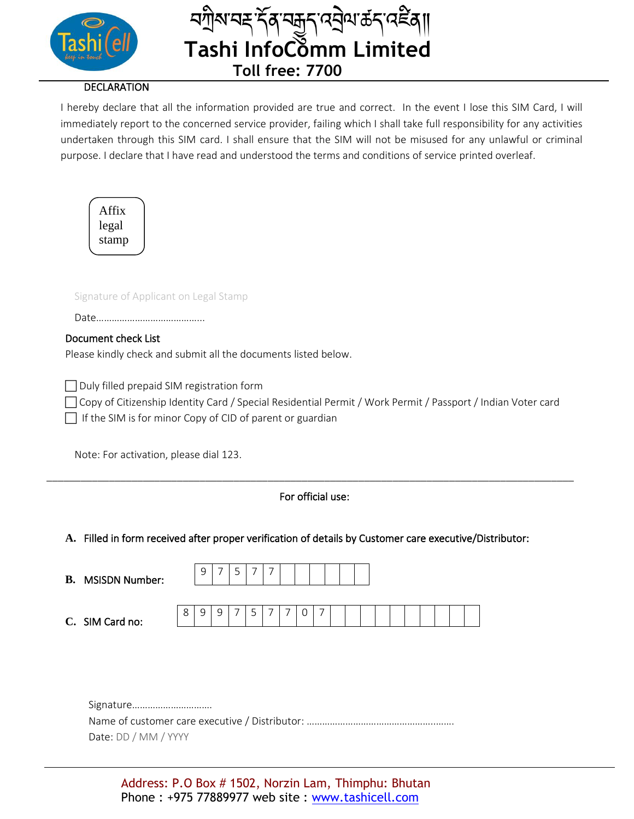

## **DECLARATION**

I hereby declare that all the information provided are true and correct. In the event I lose this SIM Card, I will immediately report to the concerned service provider, failing which I shall take full responsibility for any activities undertaken through this SIM card. I shall ensure that the SIM will not be misused for any unlawful or criminal purpose. I declare that I have read and understood the terms and conditions of service printed overleaf.

ï¤ষ্ণ™কৰ্ষৰী॥

| Affix |  |
|-------|--|
| legal |  |
| stamp |  |
|       |  |

Signature of Applicant on Legal Stamp

|--|

### Document check List

Please kindly check and submit all the documents listed below.

Duly filled prepaid SIM registration form

 Copy of Citizenship Identity Card / Special Residential Permit / Work Permit / Passport / Indian Voter card If the SIM is for minor Copy of CID of parent or guardian

Note: For activation, please dial 123.

# For official use:

\_\_\_\_\_\_\_\_\_\_\_\_\_\_\_\_\_\_\_\_\_\_\_\_\_\_\_\_\_\_\_\_\_\_\_\_\_\_\_\_\_\_\_\_\_\_\_\_\_\_\_\_\_\_\_\_\_\_\_\_\_\_\_\_\_\_\_\_\_\_\_\_\_\_\_\_\_\_\_\_\_\_\_\_\_\_\_\_\_\_\_\_\_

### **A.** Filled in form received after proper verification of details by Customer care executive/Distributor:

| В. | <b>MSISDN Number:</b> |   | سه | – |  |  |  |  |  |  |  |
|----|-----------------------|---|----|---|--|--|--|--|--|--|--|
|    | C. SIM Card no:       | ◡ |    |   |  |  |  |  |  |  |  |

Signature…………………………. Name of customer care executive / Distributor: …………………………………………..……. Date: DD / MM / YYYY

Address: P.O Box # 1502, Norzin Lam, Thimphu: Bhutan Phone : +975 77889977 web site : www.tashicell.com